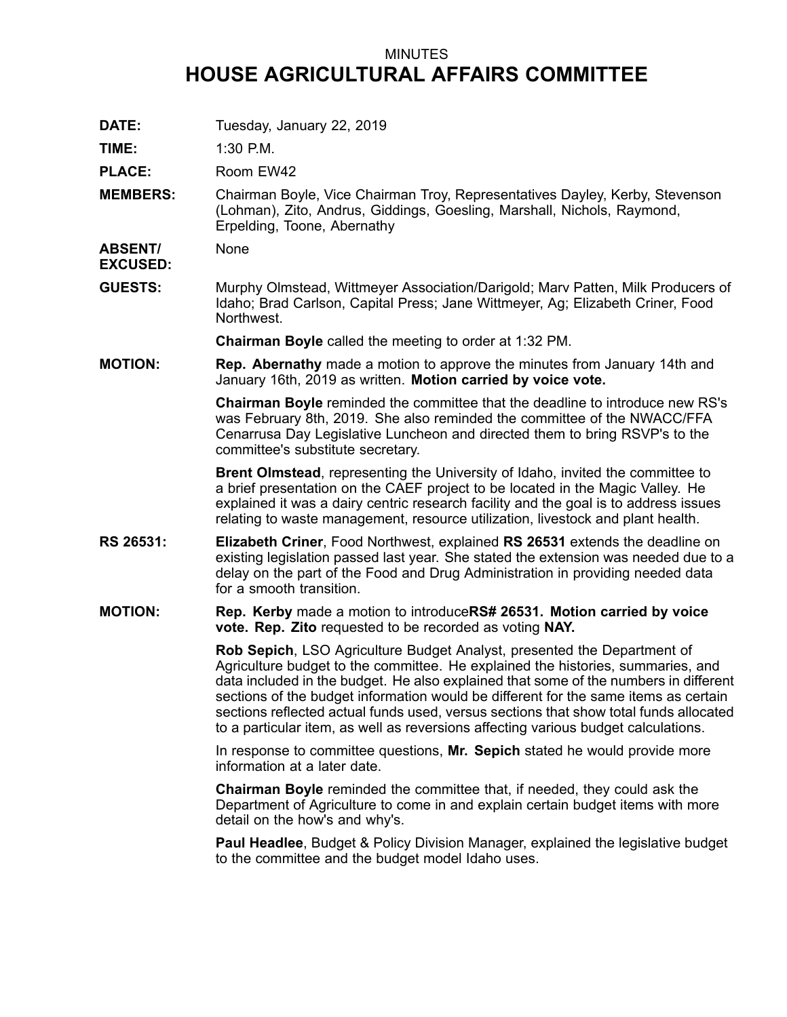## MINUTES **HOUSE AGRICULTURAL AFFAIRS COMMITTEE**

**DATE:** Tuesday, January 22, 2019

**TIME:** 1:30 P.M.

PLACE: Room EW42

**MEMBERS:** Chairman Boyle, Vice Chairman Troy, Representatives Dayley, Kerby, Stevenson (Lohman), Zito, Andrus, Giddings, Goesling, Marshall, Nichols, Raymond, Erpelding, Toone, Abernathy

**ABSENT/ EXCUSED:** None

**GUESTS:** Murphy Olmstead, Wittmeyer Association/Darigold; Marv Patten, Milk Producers of Idaho; Brad Carlson, Capital Press; Jane Wittmeyer, Ag; Elizabeth Criner, Food Northwest.

**Chairman Boyle** called the meeting to order at 1:32 PM.

**MOTION: Rep. Abernathy** made <sup>a</sup> motion to approve the minutes from January 14th and January 16th, 2019 as written. **Motion carried by voice vote.**

> **Chairman Boyle** reminded the committee that the deadline to introduce new RS's was February 8th, 2019. She also reminded the committee of the NWACC/FFA Cenarrusa Day Legislative Luncheon and directed them to bring RSVP's to the committee's substitute secretary.

**Brent Olmstead**, representing the University of Idaho, invited the committee to <sup>a</sup> brief presentation on the CAEF project to be located in the Magic Valley. He explained it was <sup>a</sup> dairy centric research facility and the goal is to address issues relating to waste management, resource utilization, livestock and plant health.

- **RS 26531: Elizabeth Criner**, Food Northwest, explained **RS 26531** extends the deadline on existing legislation passed last year. She stated the extension was needed due to <sup>a</sup> delay on the part of the Food and Drug Administration in providing needed data for a smooth transition.
- **MOTION: Rep. Kerby** made <sup>a</sup> motion to introduce**RS# 26531. Motion carried by voice vote. Rep. Zito** requested to be recorded as voting **NAY.**

**Rob Sepich**, LSO Agriculture Budget Analyst, presented the Department of Agriculture budget to the committee. He explained the histories, summaries, and data included in the budget. He also explained that some of the numbers in different sections of the budget information would be different for the same items as certain sections reflected actual funds used, versus sections that show total funds allocated to <sup>a</sup> particular item, as well as reversions affecting various budget calculations.

In response to committee questions, **Mr. Sepich** stated he would provide more information at a later date.

**Chairman Boyle** reminded the committee that, if needed, they could ask the Department of Agriculture to come in and explain certain budget items with more detail on the how's and why's.

**Paul Headlee**, Budget & Policy Division Manager, explained the legislative budget to the committee and the budget model Idaho uses.